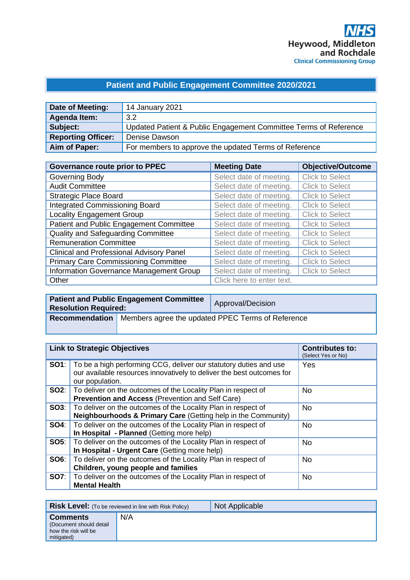## **Patient and Public Engagement Committee 2020/2021**

| Date of Meeting:          | 14 January 2021                                                  |
|---------------------------|------------------------------------------------------------------|
| Agenda Item:              | 3.2                                                              |
| Subject:                  | Updated Patient & Public Engagement Committee Terms of Reference |
| <b>Reporting Officer:</b> | Denise Dawson                                                    |
| Aim of Paper:             | For members to approve the updated Terms of Reference            |

| <b>Governance route prior to PPEC</b>           | <b>Meeting Date</b>       | <b>Objective/Outcome</b> |
|-------------------------------------------------|---------------------------|--------------------------|
| Governing Body                                  | Select date of meeting.   | <b>Click to Select</b>   |
| <b>Audit Committee</b>                          | Select date of meeting.   | <b>Click to Select</b>   |
| <b>Strategic Place Board</b>                    | Select date of meeting.   | <b>Click to Select</b>   |
| <b>Integrated Commissioning Board</b>           | Select date of meeting.   | <b>Click to Select</b>   |
| <b>Locality Engagement Group</b>                | Select date of meeting.   | <b>Click to Select</b>   |
| Patient and Public Engagement Committee         | Select date of meeting.   | <b>Click to Select</b>   |
| Quality and Safeguarding Committee              | Select date of meeting.   | <b>Click to Select</b>   |
| <b>Remuneration Committee</b>                   | Select date of meeting.   | <b>Click to Select</b>   |
| <b>Clinical and Professional Advisory Panel</b> | Select date of meeting.   | <b>Click to Select</b>   |
| <b>Primary Care Commissioning Committee</b>     | Select date of meeting.   | <b>Click to Select</b>   |
| Information Governance Management Group         | Select date of meeting.   | <b>Click to Select</b>   |
| Other                                           | Click here to enter text. |                          |

| <b>Resolution Required:</b> | <b>Patient and Public Engagement Committee</b>                          | Approval/Decision |
|-----------------------------|-------------------------------------------------------------------------|-------------------|
|                             | <b>Recommendation</b> Members agree the updated PPEC Terms of Reference |                   |

| <b>Link to Strategic Objectives</b>                                                                                                                                        | <b>Contributes to:</b><br>(Select Yes or No) |
|----------------------------------------------------------------------------------------------------------------------------------------------------------------------------|----------------------------------------------|
| <b>SO1</b> : To be a high performing CCG, deliver our statutory duties and use<br>our available resources innovatively to deliver the best outcomes for<br>our population. | Yes                                          |
| <b>SO2:</b>   To deliver on the outcomes of the Locality Plan in respect of<br><b>Prevention and Access (Prevention and Self Care)</b>                                     | No.                                          |
| <b>SO3:</b>   To deliver on the outcomes of the Locality Plan in respect of<br>Neighbourhoods & Primary Care (Getting help in the Community)                               | <b>No</b>                                    |
| <b>SO4:</b> To deliver on the outcomes of the Locality Plan in respect of<br>In Hospital - Planned (Getting more help)                                                     | <b>No</b>                                    |
| <b>SO5:</b> To deliver on the outcomes of the Locality Plan in respect of<br>In Hospital - Urgent Care (Getting more help)                                                 | <b>No</b>                                    |
| <b>SO6:</b>   To deliver on the outcomes of the Locality Plan in respect of<br>Children, young people and families                                                         | <b>No</b>                                    |
| <b>SO7:</b>   To deliver on the outcomes of the Locality Plan in respect of<br><b>Mental Health</b>                                                                        | <b>No</b>                                    |

|                                                                                  | <b>Risk Level:</b> (To be reviewed in line with Risk Policy) | Not Applicable |
|----------------------------------------------------------------------------------|--------------------------------------------------------------|----------------|
| <b>Comments</b><br>(Document should detail<br>how the risk will be<br>mitigated) | N/A                                                          |                |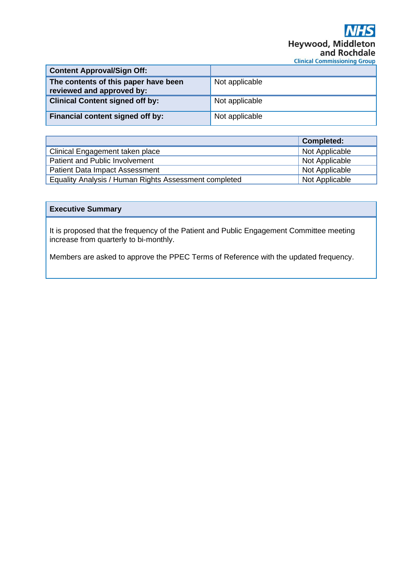# Heywood, Middleton and Rochdale **Clinical Commissioning Group**

| <b>Content Approval/Sign Off:</b>                                 |                |
|-------------------------------------------------------------------|----------------|
| The contents of this paper have been<br>reviewed and approved by: | Not applicable |
| <b>Clinical Content signed off by:</b>                            | Not applicable |
| Financial content signed off by:                                  | Not applicable |

|                                                       | <b>Completed:</b> |
|-------------------------------------------------------|-------------------|
| Clinical Engagement taken place                       | Not Applicable    |
| Patient and Public Involvement                        | Not Applicable    |
| <b>Patient Data Impact Assessment</b>                 | Not Applicable    |
| Equality Analysis / Human Rights Assessment completed | Not Applicable    |

## **Executive Summary**

It is proposed that the frequency of the Patient and Public Engagement Committee meeting increase from quarterly to bi-monthly.

Members are asked to approve the PPEC Terms of Reference with the updated frequency.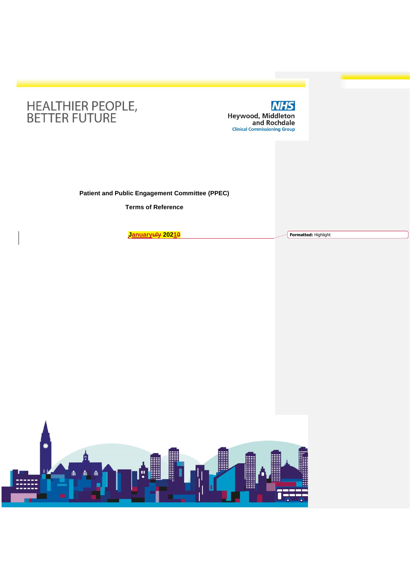



**Patient and Public Engagement Committee (PPEC)**

**Terms of Reference**

**Januaryuly 20210 Formatted:** Highlight

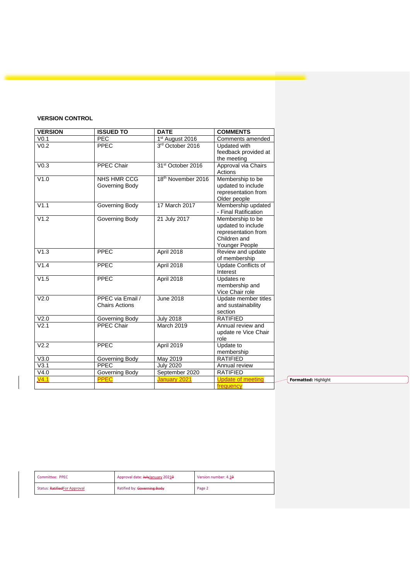## **VERSION CONTROL**

| <b>VERSION</b>    | <b>ISSUED TO</b>                          | <b>DATE</b>                   | <b>COMMENTS</b>                                                                                 |
|-------------------|-------------------------------------------|-------------------------------|-------------------------------------------------------------------------------------------------|
| V <sub>0.1</sub>  | <b>PEC</b>                                | 1 <sup>st</sup> August 2016   | Comments amended                                                                                |
| V <sub>0.2</sub>  | <b>PPEC</b>                               | 3rd October 2016              | Updated with<br>feedback provided at<br>the meeting                                             |
| V <sub>0.3</sub>  | <b>PPEC Chair</b>                         | 31 <sup>st</sup> October 2016 | Approval via Chairs<br>Actions                                                                  |
| V1.0              | <b>NHS HMR CCG</b><br>Governing Body      | 18th November 2016            | Membership to be<br>updated to include<br>representation from<br>Older people                   |
| V1.1              | Governing Body                            | 17 March 2017                 | Membership updated<br>- Final Ratification                                                      |
| V1.2              | Governing Body                            | 21 July 2017                  | Membership to be<br>updated to include<br>representation from<br>Children and<br>Younger People |
| V1.3              | PPEC                                      | April 2018                    | Review and update<br>of membership                                                              |
| V1.4              | <b>PPEC</b>                               | April 2018                    | Update Conflicts of<br>Interest                                                                 |
| V1.5              | PPEC                                      | April 2018                    | Updates re<br>membership and<br>Vice Chair role                                                 |
| V2.0              | PPEC via Email /<br><b>Chairs Actions</b> | <b>June 2018</b>              | Update member titles<br>and sustainability<br>section                                           |
| V2.0              | Governing Body                            | <b>July 2018</b>              | <b>RATIFIED</b>                                                                                 |
| $\overline{V2.1}$ | <b>PPEC Chair</b>                         | March 2019                    | Annual review and<br>update re Vice Chair<br>role                                               |
| V2.2              | PPEC                                      | April 2019                    | Update to<br>membership                                                                         |
| V3.0              | Governing Body                            | May 2019                      | <b>RATIFIED</b>                                                                                 |
| V3.1              | PPEC                                      | <b>July 2020</b>              | Annual review                                                                                   |
| V4.0              | Governing Body                            | September 2020                | <b>RATIFIED</b>                                                                                 |
| V4.1              | <b>PPEC</b>                               | January 2021                  | <b>Update of meeting</b><br>frequency                                                           |

**Formatted:** Highlight

| Committee: PPEC              | Approval date: JulyJanuary 20210 | Version number: 4.10 |
|------------------------------|----------------------------------|----------------------|
| Status: RatifiedFor Approval | Ratified by: Governing Body      | Page 2               |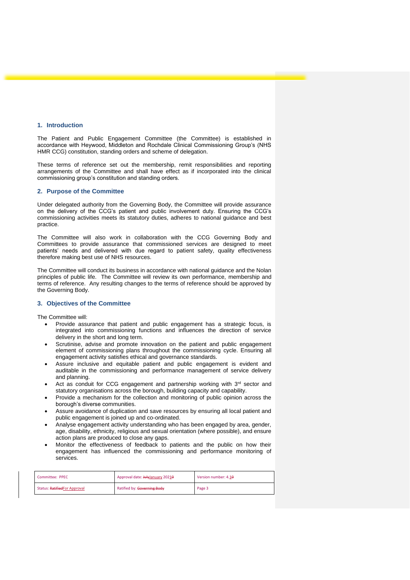#### **1. Introduction**

The Patient and Public Engagement Committee (the Committee) is established in accordance with Heywood, Middleton and Rochdale Clinical Commissioning Group's (NHS HMR CCG) constitution, standing orders and scheme of delegation.

These terms of reference set out the membership, remit responsibilities and reporting arrangements of the Committee and shall have effect as if incorporated into the clinical commissioning group's constitution and standing orders.

#### **2. Purpose of the Committee**

Under delegated authority from the Governing Body, the Committee will provide assurance on the delivery of the CCG's patient and public involvement duty. Ensuring the CCG's commissioning activities meets its statutory duties, adheres to national guidance and best practice.

The Committee will also work in collaboration with the CCG Governing Body and Committees to provide assurance that commissioned services are designed to meet patients' needs and delivered with due regard to patient safety, quality effectiveness therefore making best use of NHS resources.

The Committee will conduct its business in accordance with national guidance and the Nolan principles of public life. The Committee will review its own performance, membership and terms of reference. Any resulting changes to the terms of reference should be approved by the Governing Body.

#### **3. Objectives of the Committee**

The Committee will:

- Provide assurance that patient and public engagement has a strategic focus, is integrated into commissioning functions and influences the direction of service delivery in the short and long term.
- Scrutinise, advise and promote innovation on the patient and public engagement element of commissioning plans throughout the commissioning cycle. Ensuring all engagement activity satisfies ethical and governance standards.
- Assure inclusive and equitable patient and public engagement is evident and auditable in the commissioning and performance management of service delivery and planning.
- Act as conduit for CCG engagement and partnership working with  $3<sup>rd</sup>$  sector and statutory organisations across the borough, building capacity and capability.
- Provide a mechanism for the collection and monitoring of public opinion across the borough's diverse communities.
- Assure avoidance of duplication and save resources by ensuring all local patient and public engagement is joined up and co-ordinated.
- Analyse engagement activity understanding who has been engaged by area, gender, age, disability, ethnicity, religious and sexual orientation (where possible), and ensure action plans are produced to close any gaps.
- Monitor the effectiveness of feedback to patients and the public on how their engagement has influenced the commissioning and performance monitoring of services.

| Committee: PPEC              | Approval date: JulyJanuary 20210 | Version number: 4.10 |
|------------------------------|----------------------------------|----------------------|
| Status: RatifiedFor Approval | Ratified by: Governing Body      | Page 3               |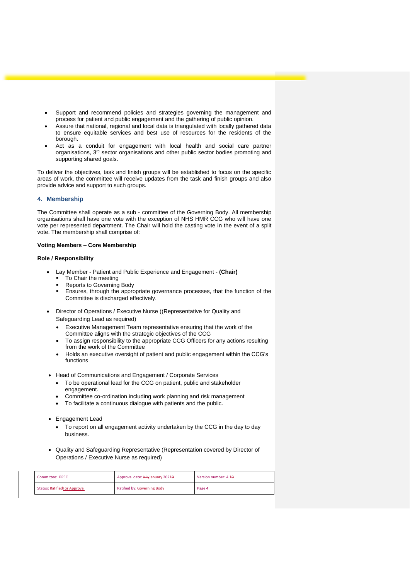- Support and recommend policies and strategies governing the management and process for patient and public engagement and the gathering of public opinion.
- Assure that national, regional and local data is triangulated with locally gathered data to ensure equitable services and best use of resources for the residents of the borough.
- Act as a conduit for engagement with local health and social care partner organisations, 3rd sector organisations and other public sector bodies promoting and supporting shared goals.

To deliver the objectives, task and finish groups will be established to focus on the specific areas of work, the committee will receive updates from the task and finish groups and also provide advice and support to such groups.

### **4. Membership**

The Committee shall operate as a sub - committee of the Governing Body. All membership organisations shall have one vote with the exception of NHS HMR CCG who will have one vote per represented department. The Chair will hold the casting vote in the event of a split vote. The membership shall comprise of:

#### **Voting Members – Core Membership**

#### **Role / Responsibility**

- Lay Member Patient and Public Experience and Engagement **(Chair)**
	- To Chair the meeting
	- Reports to Governing Body
	- **Ensures, through the appropriate governance processes, that the function of the** Committee is discharged effectively.
- Director of Operations / Executive Nurse ((Representative for Quality and Safeguarding Lead as required)
	- Executive Management Team representative ensuring that the work of the Committee aligns with the strategic objectives of the CCG
	- To assign responsibility to the appropriate CCG Officers for any actions resulting from the work of the Committee
	- Holds an executive oversight of patient and public engagement within the CCG's functions
- Head of Communications and Engagement / Corporate Services
	- To be operational lead for the CCG on patient, public and stakeholder engagement.
	- Committee co-ordination including work planning and risk management
	- To facilitate a continuous dialogue with patients and the public.
- Engagement Lead
	- To report on all engagement activity undertaken by the CCG in the day to day business.
- Quality and Safeguarding Representative (Representation covered by Director of Operations / Executive Nurse as required)

| Committee: PPEC              | Approval date: JulyJanuary 20210 | Version number: 4.10 |
|------------------------------|----------------------------------|----------------------|
| Status: RatifiedFor Approval | Ratified by: Governing Body      | Page 4               |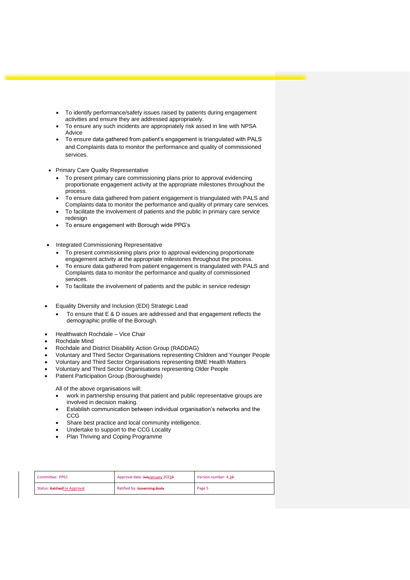- To identify performance/safety issues raised by patients during engagement activities and ensure they are addressed appropriately.
- To ensure any such incidents are appropriately risk assed in line with NPSA Advice
- To ensure data gathered from patient's engagement is triangulated with PALS and Complaints data to monitor the performance and quality of commissioned services.
- Primary Care Quality Representative
	- To present primary care commissioning plans prior to approval evidencing proportionate engagement activity at the appropriate milestones throughout the process.
	- To ensure data gathered from patient engagement is triangulated with PALS and Complaints data to monitor the performance and quality of primary care services.
	- To facilitate the involvement of patients and the public in primary care service redesign
	- To ensure engagement with Borough wide PPG's
- Integrated Commissioning Representative
	- To present commissioning plans prior to approval evidencing proportionate engagement activity at the appropriate milestones throughout the process.
	- To ensure data gathered from patient engagement is triangulated with PALS and Complaints data to monitor the performance and quality of commissioned services.
	- To facilitate the involvement of patients and the public in service redesign
- Equality Diversity and Inclusion (EDI) Strategic Lead
	- To ensure that E & D issues are addressed and that engagement reflects the demographic profile of the Borough.
- Healthwatch Rochdale Vice Chair
- Rochdale Mind
- Rochdale and District Disability Action Group (RADDAG)
- Voluntary and Third Sector Organisations representing Children and Younger People
- Voluntary and Third Sector Organisations representing BME Health Matters
- Voluntary and Third Sector Organisations representing Older People
- Patient Participation Group (Boroughwide)

All of the above organisations will:

- work in partnership ensuring that patient and public representative groups are involved in decision making.
- Establish communication between individual organisation's networks and the **CCG**
- Share best practice and local community intelligence.
- Undertake to support to the CCG Locality
- Plan Thriving and Coping Programme

| Committee: PPEC              | Approval date: JulyJanuary 20210 | Version number: 4.10 |
|------------------------------|----------------------------------|----------------------|
| Status: RatifiedFor Approval | Ratified by: Governing Body      | Page 5               |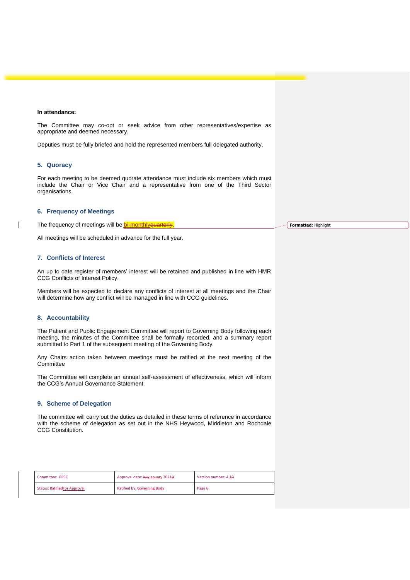#### **In attendance:**

The Committee may co-opt or seek advice from other representatives/expertise as appropriate and deemed necessary.

Deputies must be fully briefed and hold the represented members full delegated authority.

#### **5. Quoracy**

 $\overline{\phantom{a}}$ 

For each meeting to be deemed quorate attendance must include six members which must include the Chair or Vice Chair and a representative from one of the Third Sector organisations.

#### **6. Frequency of Meetings**

The frequency of meetings will be **bi-monthlyquarterly**. **Formatted:** Highlight

All meetings will be scheduled in advance for the full year.

#### **7. Conflicts of Interest**

An up to date register of members' interest will be retained and published in line with HMR CCG Conflicts of Interest Policy.

Members will be expected to declare any conflicts of interest at all meetings and the Chair will determine how any conflict will be managed in line with CCG guidelines.

#### **8. Accountability**

The Patient and Public Engagement Committee will report to Governing Body following each meeting, the minutes of the Committee shall be formally recorded, and a summary report submitted to Part 1 of the subsequent meeting of the Governing Body.

Any Chairs action taken between meetings must be ratified at the next meeting of the **Committee** 

The Committee will complete an annual self-assessment of effectiveness, which will inform the CCG's Annual Governance Statement.

#### **9. Scheme of Delegation**

The committee will carry out the duties as detailed in these terms of reference in accordance with the scheme of delegation as set out in the NHS Heywood, Middleton and Rochdale CCG Constitution.

| Committee: PPEC              | Approval date: JulyJanuary 20210 | Version number: 4.10 |
|------------------------------|----------------------------------|----------------------|
| Status: RatifiedFor Approval | Ratified by: Governing Body      | Page 6               |